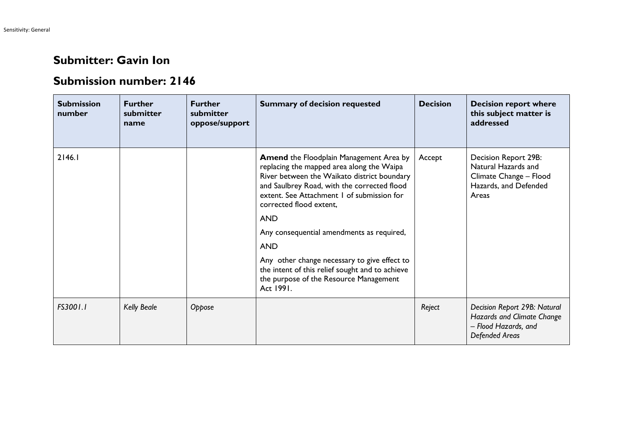## **Submitter: Gavin Ion**

## **Submission number: 2146**

| <b>Submission</b><br>number | <b>Further</b><br>submitter<br>name | <b>Further</b><br>submitter<br>oppose/support | <b>Summary of decision requested</b>                                                                                                                                                                                                                                                                                                                                                                                                                                                                  | <b>Decision</b> | <b>Decision report where</b><br>this subject matter is<br>addressed                                                |
|-----------------------------|-------------------------------------|-----------------------------------------------|-------------------------------------------------------------------------------------------------------------------------------------------------------------------------------------------------------------------------------------------------------------------------------------------------------------------------------------------------------------------------------------------------------------------------------------------------------------------------------------------------------|-----------------|--------------------------------------------------------------------------------------------------------------------|
| 2146.1                      |                                     |                                               | <b>Amend</b> the Floodplain Management Area by<br>replacing the mapped area along the Waipa<br>River between the Waikato district boundary<br>and Saulbrey Road, with the corrected flood<br>extent. See Attachment 1 of submission for<br>corrected flood extent,<br><b>AND</b><br>Any consequential amendments as required,<br><b>AND</b><br>Any other change necessary to give effect to<br>the intent of this relief sought and to achieve<br>the purpose of the Resource Management<br>Act 1991. | Accept          | Decision Report 29B:<br>Natural Hazards and<br>Climate Change - Flood<br>Hazards, and Defended<br>Areas            |
| FS3001.1                    | <b>Kelly Beale</b>                  | Oppose                                        |                                                                                                                                                                                                                                                                                                                                                                                                                                                                                                       | Reject          | Decision Report 29B: Natural<br><b>Hazards and Climate Change</b><br>- Flood Hazards, and<br><b>Defended Areas</b> |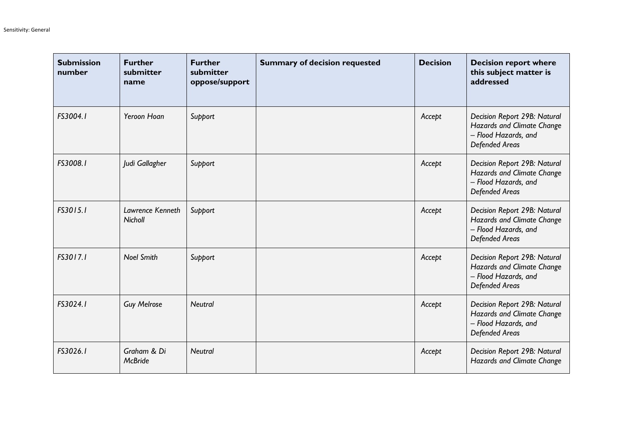| <b>Submission</b><br>number | <b>Further</b><br>submitter<br>name | <b>Further</b><br>submitter<br>oppose/support | <b>Summary of decision requested</b> | <b>Decision</b> | <b>Decision report where</b><br>this subject matter is<br>addressed                                                |
|-----------------------------|-------------------------------------|-----------------------------------------------|--------------------------------------|-----------------|--------------------------------------------------------------------------------------------------------------------|
| FS3004.1                    | Yeroon Hoan                         | Support                                       |                                      | Accept          | Decision Report 29B: Natural<br><b>Hazards and Climate Change</b><br>- Flood Hazards, and<br><b>Defended Areas</b> |
| FS3008.1                    | Judi Gallagher                      | Support                                       |                                      | Accept          | Decision Report 29B: Natural<br>Hazards and Climate Change<br>- Flood Hazards, and<br><b>Defended Areas</b>        |
| FS3015.1                    | Lawrence Kenneth<br><b>Nicholl</b>  | Support                                       |                                      | Accept          | Decision Report 29B: Natural<br>Hazards and Climate Change<br>- Flood Hazards, and<br><b>Defended Areas</b>        |
| FS3017.1                    | <b>Noel Smith</b>                   | Support                                       |                                      | Accept          | Decision Report 29B: Natural<br><b>Hazards and Climate Change</b><br>- Flood Hazards, and<br><b>Defended Areas</b> |
| FS3024.1                    | <b>Guy Melrose</b>                  | <b>Neutral</b>                                |                                      | Accept          | Decision Report 29B: Natural<br>Hazards and Climate Change<br>- Flood Hazards, and<br><b>Defended Areas</b>        |
| FS3026.1                    | Graham & Di<br><b>McBride</b>       | Neutral                                       |                                      | Accept          | Decision Report 29B: Natural<br>Hazards and Climate Change                                                         |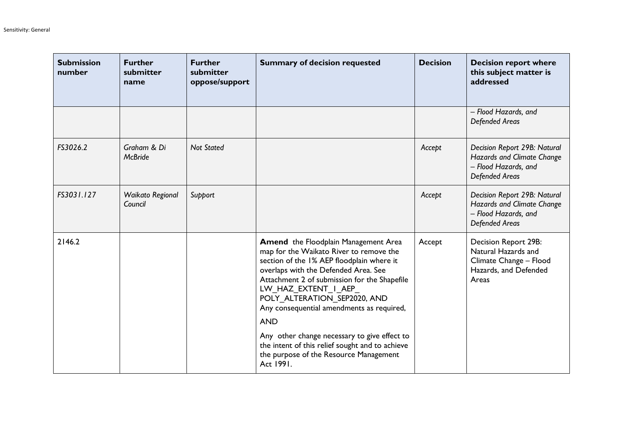| <b>Submission</b><br>number | <b>Further</b><br>submitter<br>name | <b>Further</b><br>submitter<br>oppose/support | <b>Summary of decision requested</b>                                                                                                                                                                                                                                                                                                                                                                                                                                                                    | <b>Decision</b> | <b>Decision report where</b><br>this subject matter is<br>addressed                                                |
|-----------------------------|-------------------------------------|-----------------------------------------------|---------------------------------------------------------------------------------------------------------------------------------------------------------------------------------------------------------------------------------------------------------------------------------------------------------------------------------------------------------------------------------------------------------------------------------------------------------------------------------------------------------|-----------------|--------------------------------------------------------------------------------------------------------------------|
|                             |                                     |                                               |                                                                                                                                                                                                                                                                                                                                                                                                                                                                                                         |                 | - Flood Hazards, and<br><b>Defended Areas</b>                                                                      |
| FS3026.2                    | Graham & Di<br><b>McBride</b>       | <b>Not Stated</b>                             |                                                                                                                                                                                                                                                                                                                                                                                                                                                                                                         | Accept          | Decision Report 29B: Natural<br>Hazards and Climate Change<br>- Flood Hazards, and<br><b>Defended Areas</b>        |
| FS3031.127                  | Waikato Regional<br>Council         | Support                                       |                                                                                                                                                                                                                                                                                                                                                                                                                                                                                                         | Accept          | Decision Report 29B: Natural<br><b>Hazards and Climate Change</b><br>- Flood Hazards, and<br><b>Defended Areas</b> |
| 2146.2                      |                                     |                                               | <b>Amend</b> the Floodplain Management Area<br>map for the Waikato River to remove the<br>section of the 1% AEP floodplain where it<br>overlaps with the Defended Area. See<br>Attachment 2 of submission for the Shapefile<br>LW HAZ EXTENT I AEP<br>POLY ALTERATION SEP2020, AND<br>Any consequential amendments as required,<br><b>AND</b><br>Any other change necessary to give effect to<br>the intent of this relief sought and to achieve<br>the purpose of the Resource Management<br>Act 1991. | Accept          | Decision Report 29B:<br>Natural Hazards and<br>Climate Change - Flood<br>Hazards, and Defended<br>Areas            |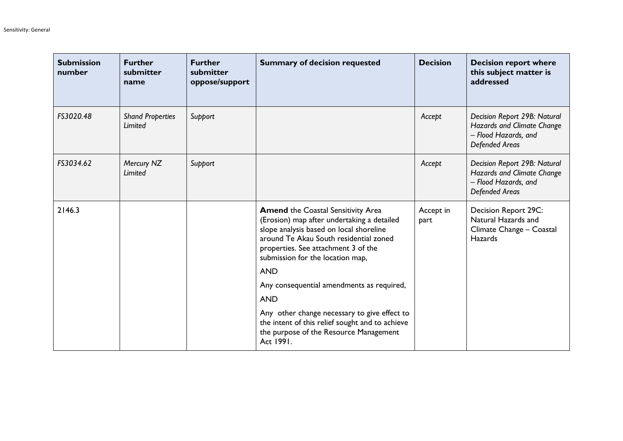| <b>Submission</b><br>number | <b>Further</b><br>submitter<br>name | <b>Further</b><br>submitter<br>oppose/support | <b>Summary of decision requested</b>                                                                                                                                                                                                                    | <b>Decision</b>   | <b>Decision report where</b><br>this subject matter is<br>addressed                                         |
|-----------------------------|-------------------------------------|-----------------------------------------------|---------------------------------------------------------------------------------------------------------------------------------------------------------------------------------------------------------------------------------------------------------|-------------------|-------------------------------------------------------------------------------------------------------------|
| FS3020.48                   | <b>Shand Properties</b><br>Limited  | Support                                       |                                                                                                                                                                                                                                                         | Accept            | Decision Report 29B: Natural<br>Hazards and Climate Change<br>- Flood Hazards, and<br><b>Defended Areas</b> |
| FS3034.62                   | Mercury NZ<br>Limited               | Support                                       |                                                                                                                                                                                                                                                         | Accept            | Decision Report 29B: Natural<br>Hazards and Climate Change<br>- Flood Hazards, and<br><b>Defended Areas</b> |
| 2146.3                      |                                     |                                               | <b>Amend the Coastal Sensitivity Area</b><br>(Erosion) map after undertaking a detailed<br>slope analysis based on local shoreline<br>around Te Akau South residential zoned<br>properties. See attachment 3 of the<br>submission for the location map, | Accept in<br>part | Decision Report 29C:<br>Natural Hazards and<br>Climate Change - Coastal<br><b>Hazards</b>                   |
|                             |                                     |                                               | <b>AND</b><br>Any consequential amendments as required,                                                                                                                                                                                                 |                   |                                                                                                             |
|                             |                                     |                                               | <b>AND</b>                                                                                                                                                                                                                                              |                   |                                                                                                             |
|                             |                                     |                                               | Any other change necessary to give effect to<br>the intent of this relief sought and to achieve<br>the purpose of the Resource Management<br>Act 1991.                                                                                                  |                   |                                                                                                             |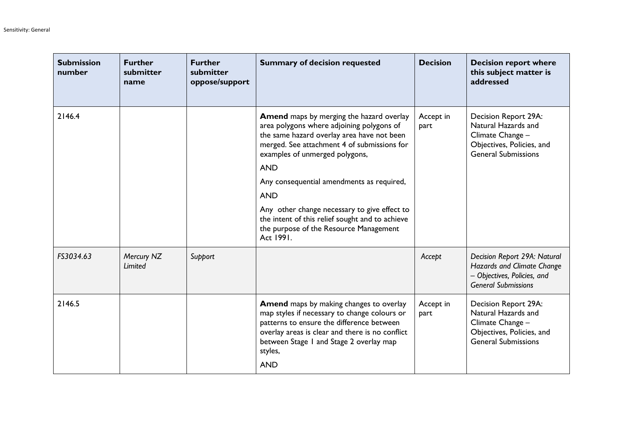| <b>Submission</b><br>number | <b>Further</b><br>submitter<br>name | <b>Further</b><br>submitter<br>oppose/support | <b>Summary of decision requested</b>                                                                                                                                                                                                                                                                                                                                                                                                                           | <b>Decision</b>   | <b>Decision report where</b><br>this subject matter is<br>addressed                                                        |
|-----------------------------|-------------------------------------|-----------------------------------------------|----------------------------------------------------------------------------------------------------------------------------------------------------------------------------------------------------------------------------------------------------------------------------------------------------------------------------------------------------------------------------------------------------------------------------------------------------------------|-------------------|----------------------------------------------------------------------------------------------------------------------------|
| 2146.4                      |                                     |                                               | <b>Amend</b> maps by merging the hazard overlay<br>area polygons where adjoining polygons of<br>the same hazard overlay area have not been<br>merged. See attachment 4 of submissions for<br>examples of unmerged polygons,<br><b>AND</b><br>Any consequential amendments as required,<br><b>AND</b><br>Any other change necessary to give effect to<br>the intent of this relief sought and to achieve<br>the purpose of the Resource Management<br>Act 1991. | Accept in<br>part | Decision Report 29A:<br>Natural Hazards and<br>Climate Change -<br>Objectives, Policies, and<br><b>General Submissions</b> |
| FS3034.63                   | Mercury NZ<br>Limited               | Support                                       |                                                                                                                                                                                                                                                                                                                                                                                                                                                                | Accept            | Decision Report 29A: Natural<br>Hazards and Climate Change<br>- Objectives, Policies, and<br><b>General Submissions</b>    |
| 2146.5                      |                                     |                                               | <b>Amend</b> maps by making changes to overlay<br>map styles if necessary to change colours or<br>patterns to ensure the difference between<br>overlay areas is clear and there is no conflict<br>between Stage I and Stage 2 overlay map<br>styles,<br><b>AND</b>                                                                                                                                                                                             | Accept in<br>part | Decision Report 29A:<br>Natural Hazards and<br>Climate Change -<br>Objectives, Policies, and<br><b>General Submissions</b> |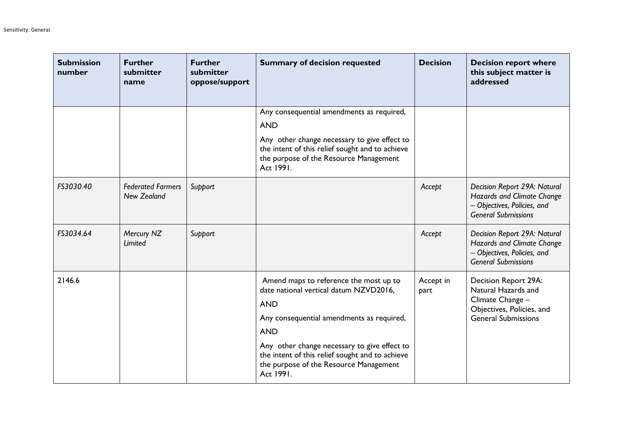| <b>Submission</b><br>number | <b>Further</b><br>submitter<br>name            | <b>Further</b><br>submitter<br>oppose/support | <b>Summary of decision requested</b>                                                                                                                                                                                                                                                                                | <b>Decision</b>   | <b>Decision report where</b><br>this subject matter is<br>addressed                                                        |
|-----------------------------|------------------------------------------------|-----------------------------------------------|---------------------------------------------------------------------------------------------------------------------------------------------------------------------------------------------------------------------------------------------------------------------------------------------------------------------|-------------------|----------------------------------------------------------------------------------------------------------------------------|
|                             |                                                |                                               | Any consequential amendments as required,<br><b>AND</b><br>Any other change necessary to give effect to<br>the intent of this relief sought and to achieve<br>the purpose of the Resource Management<br>Act 1991.                                                                                                   |                   |                                                                                                                            |
| FS3030.40                   | <b>Federated Farmers</b><br><b>New Zealand</b> | Support                                       |                                                                                                                                                                                                                                                                                                                     | Accept            | Decision Report 29A: Natural<br>Hazards and Climate Change<br>- Objectives, Policies, and<br><b>General Submissions</b>    |
| FS3034.64                   | Mercury NZ<br>Limited                          | Support                                       |                                                                                                                                                                                                                                                                                                                     | Accept            | Decision Report 29A: Natural<br>Hazards and Climate Change<br>- Objectives, Policies, and<br><b>General Submissions</b>    |
| 2146.6                      |                                                |                                               | Amend maps to reference the most up to<br>date national vertical datum NZVD2016,<br><b>AND</b><br>Any consequential amendments as required,<br><b>AND</b><br>Any other change necessary to give effect to<br>the intent of this relief sought and to achieve<br>the purpose of the Resource Management<br>Act 1991. | Accept in<br>part | Decision Report 29A:<br>Natural Hazards and<br>Climate Change -<br>Objectives, Policies, and<br><b>General Submissions</b> |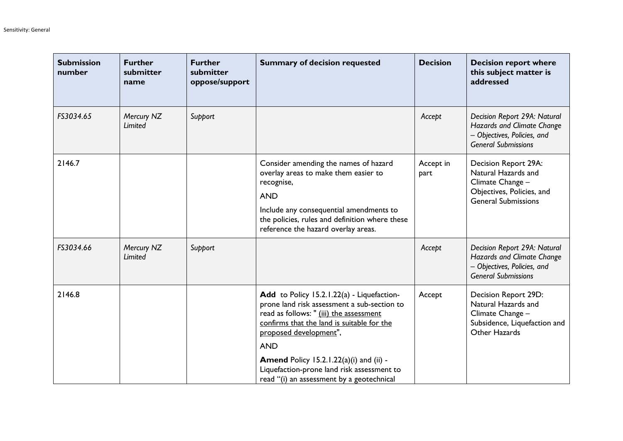| <b>Submission</b><br>number | <b>Further</b><br>submitter<br>name | <b>Further</b><br>submitter<br>oppose/support | <b>Summary of decision requested</b>                                                                                                                                                                                                          | <b>Decision</b>   | <b>Decision report where</b><br>this subject matter is<br>addressed                                                        |
|-----------------------------|-------------------------------------|-----------------------------------------------|-----------------------------------------------------------------------------------------------------------------------------------------------------------------------------------------------------------------------------------------------|-------------------|----------------------------------------------------------------------------------------------------------------------------|
| FS3034.65                   | Mercury NZ<br>Limited               | Support                                       |                                                                                                                                                                                                                                               | Accept            | Decision Report 29A: Natural<br>Hazards and Climate Change<br>- Objectives, Policies, and<br><b>General Submissions</b>    |
| 2146.7                      |                                     |                                               | Consider amending the names of hazard<br>overlay areas to make them easier to<br>recognise,<br><b>AND</b><br>Include any consequential amendments to<br>the policies, rules and definition where these<br>reference the hazard overlay areas. | Accept in<br>part | Decision Report 29A:<br>Natural Hazards and<br>Climate Change -<br>Objectives, Policies, and<br><b>General Submissions</b> |
| FS3034.66                   | Mercury NZ<br>Limited               | Support                                       |                                                                                                                                                                                                                                               | Accept            | Decision Report 29A: Natural<br>Hazards and Climate Change<br>- Objectives, Policies, and<br><b>General Submissions</b>    |
| 2146.8                      |                                     |                                               | Add to Policy 15.2.1.22(a) - Liquefaction-<br>prone land risk assessment a sub-section to<br>read as follows: " (iii) the assessment<br>confirms that the land is suitable for the<br>proposed development",<br><b>AND</b>                    | Accept            | Decision Report 29D:<br>Natural Hazards and<br>Climate Change -<br>Subsidence, Liquefaction and<br>Other Hazards           |
|                             |                                     |                                               | <b>Amend Policy 15.2.1.22(a)(i) and (ii) -</b><br>Liquefaction-prone land risk assessment to<br>read "(i) an assessment by a geotechnical                                                                                                     |                   |                                                                                                                            |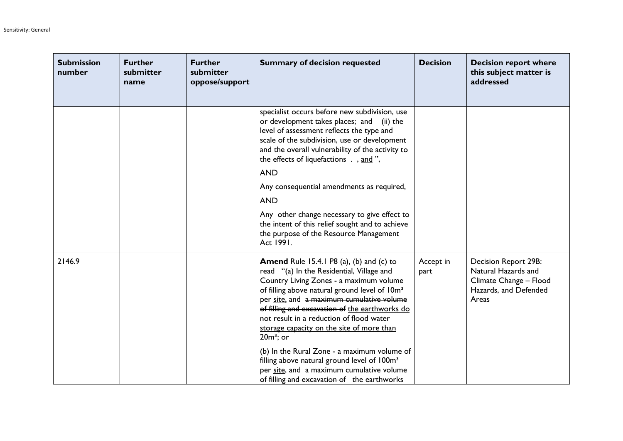| <b>Submission</b><br>number | <b>Further</b><br>submitter<br>name | <b>Further</b><br>submitter<br>oppose/support | <b>Summary of decision requested</b>                                                                                                                                                                                                                                                                                                                                                                                                                                                                                                                                                                               | <b>Decision</b>   | <b>Decision report where</b><br>this subject matter is<br>addressed                                     |
|-----------------------------|-------------------------------------|-----------------------------------------------|--------------------------------------------------------------------------------------------------------------------------------------------------------------------------------------------------------------------------------------------------------------------------------------------------------------------------------------------------------------------------------------------------------------------------------------------------------------------------------------------------------------------------------------------------------------------------------------------------------------------|-------------------|---------------------------------------------------------------------------------------------------------|
|                             |                                     |                                               | specialist occurs before new subdivision, use<br>or development takes places; and (ii) the<br>level of assessment reflects the type and<br>scale of the subdivision, use or development<br>and the overall vulnerability of the activity to<br>the effects of liquefactions . , and ",<br><b>AND</b><br>Any consequential amendments as required,                                                                                                                                                                                                                                                                  |                   |                                                                                                         |
|                             |                                     |                                               | <b>AND</b>                                                                                                                                                                                                                                                                                                                                                                                                                                                                                                                                                                                                         |                   |                                                                                                         |
|                             |                                     |                                               | Any other change necessary to give effect to<br>the intent of this relief sought and to achieve<br>the purpose of the Resource Management<br>Act 1991.                                                                                                                                                                                                                                                                                                                                                                                                                                                             |                   |                                                                                                         |
| 2146.9                      |                                     |                                               | <b>Amend</b> Rule 15.4.1 P8 (a), (b) and (c) to<br>read "(a) In the Residential, Village and<br>Country Living Zones - a maximum volume<br>of filling above natural ground level of 10m <sup>3</sup><br>per site, and a maximum cumulative volume<br>of filling and excavation of the earthworks do<br>not result in a reduction of flood water<br>storage capacity on the site of more than<br>$20m^3$ ; or<br>(b) In the Rural Zone - a maximum volume of<br>filling above natural ground level of 100m <sup>3</sup><br>per site, and a maximum cumulative volume<br>of filling and excavation of the earthworks | Accept in<br>part | Decision Report 29B:<br>Natural Hazards and<br>Climate Change - Flood<br>Hazards, and Defended<br>Areas |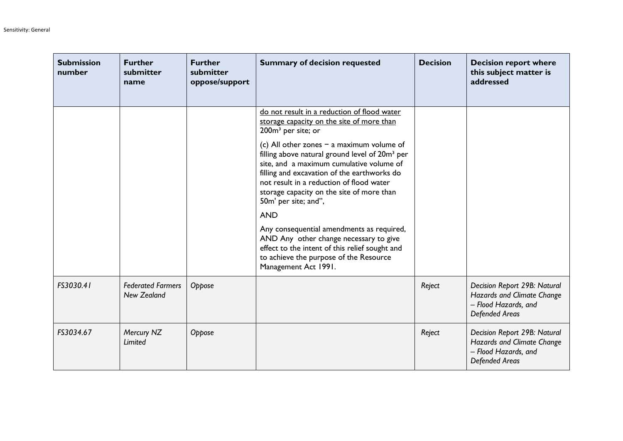| <b>Submission</b><br>number | <b>Further</b><br>submitter<br>name            | <b>Further</b><br>submitter<br>oppose/support | <b>Summary of decision requested</b>                                                                                                                                                                                                                                                                                                                                                                                                                                                                                                                                                                                                                                         | <b>Decision</b> | <b>Decision report where</b><br>this subject matter is<br>addressed                                         |
|-----------------------------|------------------------------------------------|-----------------------------------------------|------------------------------------------------------------------------------------------------------------------------------------------------------------------------------------------------------------------------------------------------------------------------------------------------------------------------------------------------------------------------------------------------------------------------------------------------------------------------------------------------------------------------------------------------------------------------------------------------------------------------------------------------------------------------------|-----------------|-------------------------------------------------------------------------------------------------------------|
|                             |                                                |                                               | do not result in a reduction of flood water<br>storage capacity on the site of more than<br>200m <sup>3</sup> per site; or<br>(c) All other zones $-$ a maximum volume of<br>filling above natural ground level of 20m <sup>3</sup> per<br>site, and a maximum cumulative volume of<br>filling and excavation of the earthworks do<br>not result in a reduction of flood water<br>storage capacity on the site of more than<br>50m' per site; and",<br><b>AND</b><br>Any consequential amendments as required,<br>AND Any other change necessary to give<br>effect to the intent of this relief sought and<br>to achieve the purpose of the Resource<br>Management Act 1991. |                 |                                                                                                             |
| FS3030.41                   | <b>Federated Farmers</b><br><b>New Zealand</b> | Oppose                                        |                                                                                                                                                                                                                                                                                                                                                                                                                                                                                                                                                                                                                                                                              | Reject          | Decision Report 29B: Natural<br>Hazards and Climate Change<br>- Flood Hazards, and<br><b>Defended Areas</b> |
| FS3034.67                   | Mercury NZ<br>Limited                          | Oppose                                        |                                                                                                                                                                                                                                                                                                                                                                                                                                                                                                                                                                                                                                                                              | Reject          | Decision Report 29B: Natural<br>Hazards and Climate Change<br>- Flood Hazards, and<br><b>Defended Areas</b> |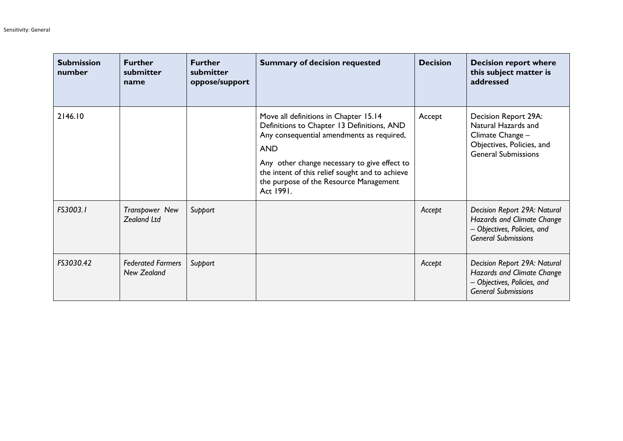| <b>Submission</b><br>number | <b>Further</b><br>submitter<br>name     | <b>Further</b><br>submitter<br>oppose/support | <b>Summary of decision requested</b>                                                                                                                                                                                                                                                                     | <b>Decision</b> | <b>Decision report where</b><br>this subject matter is<br>addressed                                                            |
|-----------------------------|-----------------------------------------|-----------------------------------------------|----------------------------------------------------------------------------------------------------------------------------------------------------------------------------------------------------------------------------------------------------------------------------------------------------------|-----------------|--------------------------------------------------------------------------------------------------------------------------------|
| 2146.10                     |                                         |                                               | Move all definitions in Chapter 15.14<br>Definitions to Chapter 13 Definitions, AND<br>Any consequential amendments as required,<br><b>AND</b><br>Any other change necessary to give effect to<br>the intent of this relief sought and to achieve<br>the purpose of the Resource Management<br>Act 1991. | Accept          | Decision Report 29A:<br>Natural Hazards and<br>Climate Change -<br>Objectives, Policies, and<br><b>General Submissions</b>     |
| FS3003.1                    | Transpower New<br><b>Zealand Ltd</b>    | Support                                       |                                                                                                                                                                                                                                                                                                          | Accept          | Decision Report 29A: Natural<br><b>Hazards and Climate Change</b><br>- Objectives, Policies, and<br><b>General Submissions</b> |
| FS3030.42                   | <b>Federated Farmers</b><br>New Zealand | Support                                       |                                                                                                                                                                                                                                                                                                          | Accept          | Decision Report 29A: Natural<br><b>Hazards and Climate Change</b><br>- Objectives, Policies, and<br><b>General Submissions</b> |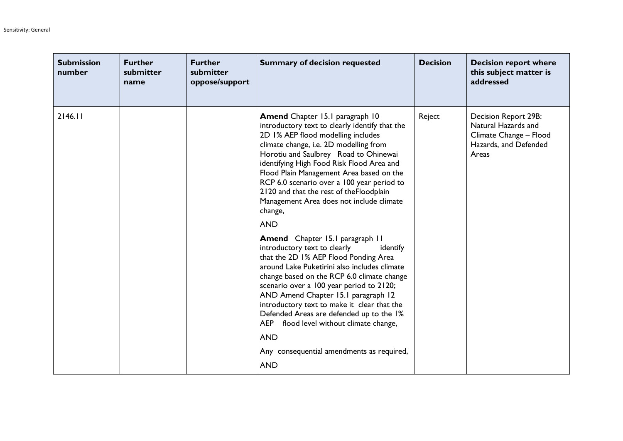| <b>Submission</b><br>number | <b>Further</b><br>submitter<br>name | <b>Further</b><br>submitter<br>oppose/support | <b>Summary of decision requested</b>                                                                                                                                                                                                                                                                                                                                                                                                                                                                                                                                                                                                                                                                                                                                                                                                                                                                                                                                        | <b>Decision</b> | <b>Decision report where</b><br>this subject matter is<br>addressed                                     |
|-----------------------------|-------------------------------------|-----------------------------------------------|-----------------------------------------------------------------------------------------------------------------------------------------------------------------------------------------------------------------------------------------------------------------------------------------------------------------------------------------------------------------------------------------------------------------------------------------------------------------------------------------------------------------------------------------------------------------------------------------------------------------------------------------------------------------------------------------------------------------------------------------------------------------------------------------------------------------------------------------------------------------------------------------------------------------------------------------------------------------------------|-----------------|---------------------------------------------------------------------------------------------------------|
| 2146.11                     |                                     |                                               | Amend Chapter 15.1 paragraph 10<br>introductory text to clearly identify that the<br>2D 1% AEP flood modelling includes<br>climate change, i.e. 2D modelling from<br>Horotiu and Saulbrey Road to Ohinewai<br>identifying High Food Risk Flood Area and<br>Flood Plain Management Area based on the<br>RCP 6.0 scenario over a 100 year period to<br>2120 and that the rest of theFloodplain<br>Management Area does not include climate<br>change,<br><b>AND</b><br>Amend Chapter 15.1 paragraph 11<br>introductory text to clearly<br>identify<br>that the 2D 1% AEP Flood Ponding Area<br>around Lake Puketirini also includes climate<br>change based on the RCP 6.0 climate change<br>scenario over a 100 year period to 2120;<br>AND Amend Chapter 15.1 paragraph 12<br>introductory text to make it clear that the<br>Defended Areas are defended up to the 1%<br>AEP flood level without climate change,<br><b>AND</b><br>Any consequential amendments as required, | Reject          | Decision Report 29B:<br>Natural Hazards and<br>Climate Change - Flood<br>Hazards, and Defended<br>Areas |
|                             |                                     |                                               | <b>AND</b>                                                                                                                                                                                                                                                                                                                                                                                                                                                                                                                                                                                                                                                                                                                                                                                                                                                                                                                                                                  |                 |                                                                                                         |